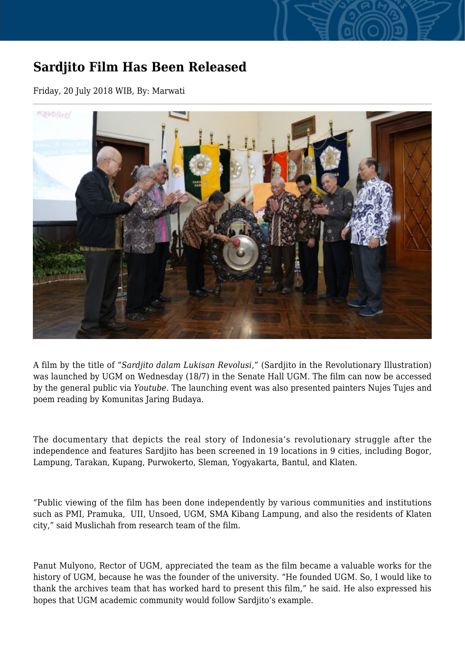## **Sardjito Film Has Been Released**

Friday, 20 July 2018 WIB, By: Marwati



A film by the title of "*Sardjito dalam Lukisan Revolusi*," (Sardjito in the Revolutionary Illustration) was launched by UGM on Wednesday (18/7) in the Senate Hall UGM. The film can now be accessed by the general public via *Youtube*. The launching event was also presented painters Nujes Tujes and poem reading by Komunitas Jaring Budaya.

The documentary that depicts the real story of Indonesia's revolutionary struggle after the independence and features Sardjito has been screened in 19 locations in 9 cities, including Bogor, Lampung, Tarakan, Kupang, Purwokerto, Sleman, Yogyakarta, Bantul, and Klaten.

"Public viewing of the film has been done independently by various communities and institutions such as PMI, Pramuka, UII, Unsoed, UGM, SMA Kibang Lampung, and also the residents of Klaten city," said Muslichah from research team of the film.

Panut Mulyono, Rector of UGM, appreciated the team as the film became a valuable works for the history of UGM, because he was the founder of the university. "He founded UGM. So, I would like to thank the archives team that has worked hard to present this film," he said. He also expressed his hopes that UGM academic community would follow Sardjito's example.